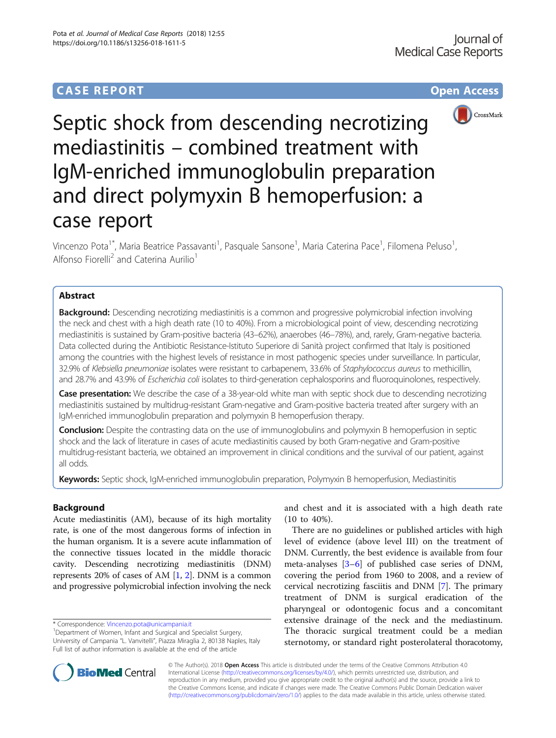# **CASE REPORT CASE REPORT CASE REPORT**



Septic shock from descending necrotizing mediastinitis – combined treatment with IgM-enriched immunoglobulin preparation and direct polymyxin B hemoperfusion: a case report

Vincenzo Pota<sup>1\*</sup>, Maria Beatrice Passavanti<sup>1</sup>, Pasquale Sansone<sup>1</sup>, Maria Caterina Pace<sup>1</sup>, Filomena Peluso<sup>1</sup> , Alfonso Fiorelli<sup>2</sup> and Caterina Aurilio<sup>1</sup>

# Abstract

**Background:** Descending necrotizing mediastinitis is a common and progressive polymicrobial infection involving the neck and chest with a high death rate (10 to 40%). From a microbiological point of view, descending necrotizing mediastinitis is sustained by Gram-positive bacteria (43–62%), anaerobes (46–78%), and, rarely, Gram-negative bacteria. Data collected during the Antibiotic Resistance-Istituto Superiore di Sanità project confirmed that Italy is positioned among the countries with the highest levels of resistance in most pathogenic species under surveillance. In particular, 32.9% of Klebsiella pneumoniae isolates were resistant to carbapenem, 33.6% of Staphylococcus aureus to methicillin, and 28.7% and 43.9% of Escherichia coli isolates to third-generation cephalosporins and fluoroquinolones, respectively.

Case presentation: We describe the case of a 38-year-old white man with septic shock due to descending necrotizing mediastinitis sustained by multidrug-resistant Gram-negative and Gram-positive bacteria treated after surgery with an IgM-enriched immunoglobulin preparation and polymyxin B hemoperfusion therapy.

**Conclusion:** Despite the contrasting data on the use of immunoglobulins and polymyxin B hemoperfusion in septic shock and the lack of literature in cases of acute mediastinitis caused by both Gram-negative and Gram-positive multidrug-resistant bacteria, we obtained an improvement in clinical conditions and the survival of our patient, against all odds.

Keywords: Septic shock, IgM-enriched immunoglobulin preparation, Polymyxin B hemoperfusion, Mediastinitis

# Background

Acute mediastinitis (AM), because of its high mortality rate, is one of the most dangerous forms of infection in the human organism. It is a severe acute inflammation of the connective tissues located in the middle thoracic cavity. Descending necrotizing mediastinitis (DNM) represents 20% of cases of AM [\[1,](#page-5-0) [2](#page-5-0)]. DNM is a common and progressive polymicrobial infection involving the neck

\* Correspondence: [Vincenzo.pota@unicampania.it](mailto:Vincenzo.pota@unicampania.it) <sup>1</sup>

<sup>1</sup>Department of Women, Infant and Surgical and Specialist Surgery, University of Campania "L. Vanvitelli", Piazza Miraglia 2, 80138 Naples, Italy Full list of author information is available at the end of the article

and chest and it is associated with a high death rate (10 to 40%).

There are no guidelines or published articles with high level of evidence (above level III) on the treatment of DNM. Currently, the best evidence is available from four meta-analyses [[3](#page-5-0)–[6](#page-5-0)] of published case series of DNM, covering the period from 1960 to 2008, and a review of cervical necrotizing fasciitis and DNM [[7\]](#page-5-0). The primary treatment of DNM is surgical eradication of the pharyngeal or odontogenic focus and a concomitant extensive drainage of the neck and the mediastinum. The thoracic surgical treatment could be a median sternotomy, or standard right posterolateral thoracotomy,



© The Author(s). 2018 Open Access This article is distributed under the terms of the Creative Commons Attribution 4.0 International License [\(http://creativecommons.org/licenses/by/4.0/](http://creativecommons.org/licenses/by/4.0/)), which permits unrestricted use, distribution, and reproduction in any medium, provided you give appropriate credit to the original author(s) and the source, provide a link to the Creative Commons license, and indicate if changes were made. The Creative Commons Public Domain Dedication waiver [\(http://creativecommons.org/publicdomain/zero/1.0/](http://creativecommons.org/publicdomain/zero/1.0/)) applies to the data made available in this article, unless otherwise stated.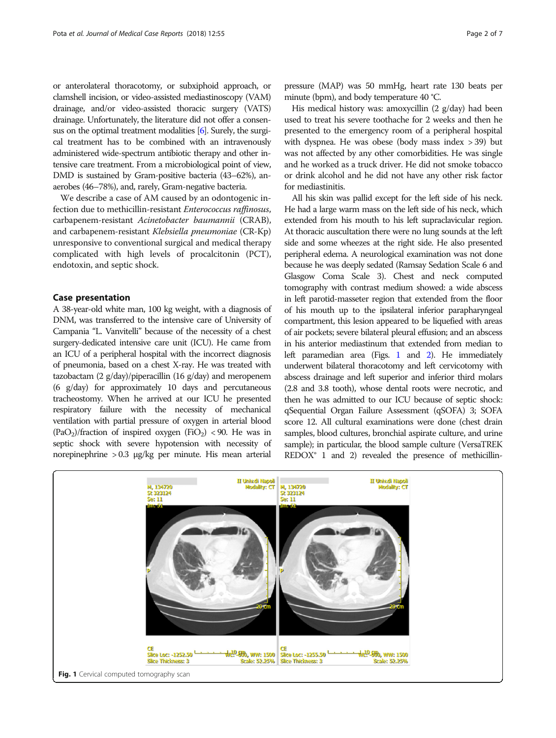or anterolateral thoracotomy, or subxiphoid approach, or clamshell incision, or video-assisted mediastinoscopy (VAM) drainage, and/or video-assisted thoracic surgery (VATS) drainage. Unfortunately, the literature did not offer a consensus on the optimal treatment modalities [\[6\]](#page-5-0). Surely, the surgical treatment has to be combined with an intravenously administered wide-spectrum antibiotic therapy and other intensive care treatment. From a microbiological point of view, DMD is sustained by Gram-positive bacteria (43–62%), anaerobes (46–78%), and, rarely, Gram-negative bacteria.

We describe a case of AM caused by an odontogenic infection due to methicillin-resistant Enterococcus raffinosus, carbapenem-resistant Acinetobacter baumannii (CRAB), and carbapenem-resistant Klebsiella pneumoniae (CR-Kp) unresponsive to conventional surgical and medical therapy complicated with high levels of procalcitonin (PCT), endotoxin, and septic shock.

# Case presentation

A 38-year-old white man, 100 kg weight, with a diagnosis of DNM, was transferred to the intensive care of University of Campania "L. Vanvitelli" because of the necessity of a chest surgery-dedicated intensive care unit (ICU). He came from an ICU of a peripheral hospital with the incorrect diagnosis of pneumonia, based on a chest X-ray. He was treated with tazobactam (2 g/day)/piperacillin (16 g/day) and meropenem (6 g/day) for approximately 10 days and percutaneous tracheostomy. When he arrived at our ICU he presented respiratory failure with the necessity of mechanical ventilation with partial pressure of oxygen in arterial blood  $(PaO<sub>2</sub>)/fraction$  of inspired oxygen  $(FiO<sub>2</sub>)$  < 90. He was in septic shock with severe hypotension with necessity of norepinephrine > 0.3 μg/kg per minute. His mean arterial

pressure (MAP) was 50 mmHg, heart rate 130 beats per minute (bpm), and body temperature 40 °C.

His medical history was: amoxycillin (2 g/day) had been used to treat his severe toothache for 2 weeks and then he presented to the emergency room of a peripheral hospital with dyspnea. He was obese (body mass index > 39) but was not affected by any other comorbidities. He was single and he worked as a truck driver. He did not smoke tobacco or drink alcohol and he did not have any other risk factor for mediastinitis.

All his skin was pallid except for the left side of his neck. He had a large warm mass on the left side of his neck, which extended from his mouth to his left supraclavicular region. At thoracic auscultation there were no lung sounds at the left side and some wheezes at the right side. He also presented peripheral edema. A neurological examination was not done because he was deeply sedated (Ramsay Sedation Scale 6 and Glasgow Coma Scale 3). Chest and neck computed tomography with contrast medium showed: a wide abscess in left parotid-masseter region that extended from the floor of his mouth up to the ipsilateral inferior parapharyngeal compartment, this lesion appeared to be liquefied with areas of air pockets; severe bilateral pleural effusion; and an abscess in his anterior mediastinum that extended from median to left paramedian area (Figs. 1 and [2\)](#page-2-0). He immediately underwent bilateral thoracotomy and left cervicotomy with abscess drainage and left superior and inferior third molars (2.8 and 3.8 tooth), whose dental roots were necrotic, and then he was admitted to our ICU because of septic shock: qSequential Organ Failure Assessment (qSOFA) 3; SOFA score 12. All cultural examinations were done (chest drain samples, blood cultures, bronchial aspirate culture, and urine sample); in particular, the blood sample culture (VersaTREK  $REDOX<sup>®</sup> 1$  and 2) revealed the presence of methicillin-

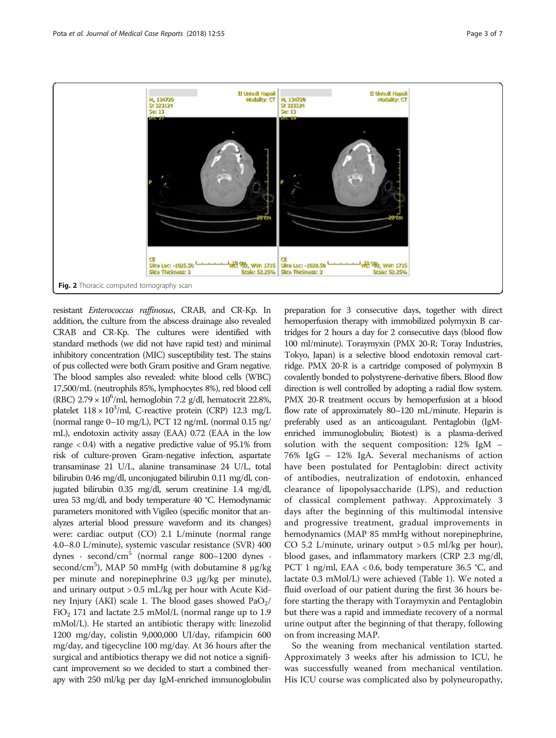<span id="page-2-0"></span>

resistant Enterococcus raffinosus, CRAB, and CR-Kp. In addition, the culture from the abscess drainage also revealed CRAB and CR-Kp. The cultures were identified with standard methods (we did not have rapid test) and minimal inhibitory concentration (MIC) susceptibility test. The stains of pus collected were both Gram positive and Gram negative. The blood samples also revealed: white blood cells (WBC) 17,500/mL (neutrophils 85%, lymphocytes 8%), red blood cell (RBC)  $2.79 \times 10^6$ /ml, hemoglobin 7.2 g/dl, hematocrit 22.8%, platelet  $118 \times 10^3$ /ml, C-reactive protein (CRP) 12.3 mg/L (normal range 0–10 mg/L), PCT 12 ng/mL (normal 0.15 ng/ mL), endotoxin activity assay (EAA) 0.72 (EAA in the low range  $< 0.4$ ) with a negative predictive value of 95.1% from risk of culture-proven Gram-negative infection, aspartate transaminase 21 U/L, alanine transaminase 24 U/L, total bilirubin 0.46 mg/dl, unconjugated bilirubin 0.11 mg/dl, conjugated bilirubin 0.35 mg/dl, serum creatinine 1.4 mg/dl, urea 53 mg/dl, and body temperature 40 °C. Hemodynamic parameters monitored with Vigileo (specific monitor that analyzes arterial blood pressure waveform and its changes) were: cardiac output (CO) 2.1 L/minute (normal range 4.0–8.0 L/minute), systemic vascular resistance (SVR) 400 dynes · second/cm<sup>5</sup> (normal range 800–1200 dynes · second/cm<sup>5</sup>), MAP 50 mmHg (with dobutamine 8 μg/kg per minute and norepinephrine 0.3 μg/kg per minute), and urinary output > 0.5 mL/kg per hour with Acute Kidney Injury (AKI) scale 1. The blood gases showed  $PaO<sub>2</sub>/$  $FiO<sub>2</sub>$  171 and lactate 2.5 mMol/L (normal range up to 1.9 mMol/L). He started an antibiotic therapy with: linezolid 1200 mg/day, colistin 9,000,000 UI/day, rifampicin 600 mg/day, and tigecycline 100 mg/day. At 36 hours after the surgical and antibiotics therapy we did not notice a significant improvement so we decided to start a combined therapy with 250 ml/kg per day IgM-enriched immunoglobulin

preparation for 3 consecutive days, together with direct hemoperfusion therapy with immobilized polymyxin B cartridges for 2 hours a day for 2 consecutive days (blood flow 100 ml/minute). Toraymyxin (PMX 20-R; Toray Industries, Tokyo, Japan) is a selective blood endotoxin removal cartridge. PMX 20-R is a cartridge composed of polymyxin B covalently bonded to polystyrene-derivative fibers. Blood flow direction is well controlled by adopting a radial flow system. PMX 20-R treatment occurs by hemoperfusion at a blood flow rate of approximately 80–120 mL/minute. Heparin is preferably used as an anticoagulant. Pentaglobin (IgMenriched immunoglobulin; Biotest) is a plasma-derived solution with the sequent composition: 12% IgM – 76% IgG – 12% IgA. Several mechanisms of action have been postulated for Pentaglobin: direct activity of antibodies, neutralization of endotoxin, enhanced clearance of lipopolysaccharide (LPS), and reduction of classical complement pathway. Approximately 3 days after the beginning of this multimodal intensive and progressive treatment, gradual improvements in hemodynamics (MAP 85 mmHg without norepinephrine, CO 5.2 L/minute, urinary output  $> 0.5$  ml/kg per hour), blood gases, and inflammatory markers (CRP 2.3 mg/dl, PCT 1 ng/ml, EAA < 0.6, body temperature 36.5 °C, and lactate 0.3 mMol/L) were achieved (Table [1](#page-3-0)). We noted a fluid overload of our patient during the first 36 hours before starting the therapy with Toraymyxin and Pentaglobin but there was a rapid and immediate recovery of a normal urine output after the beginning of that therapy, following on from increasing MAP.

So the weaning from mechanical ventilation started. Approximately 3 weeks after his admission to ICU, he was successfully weaned from mechanical ventilation. His ICU course was complicated also by polyneuropathy,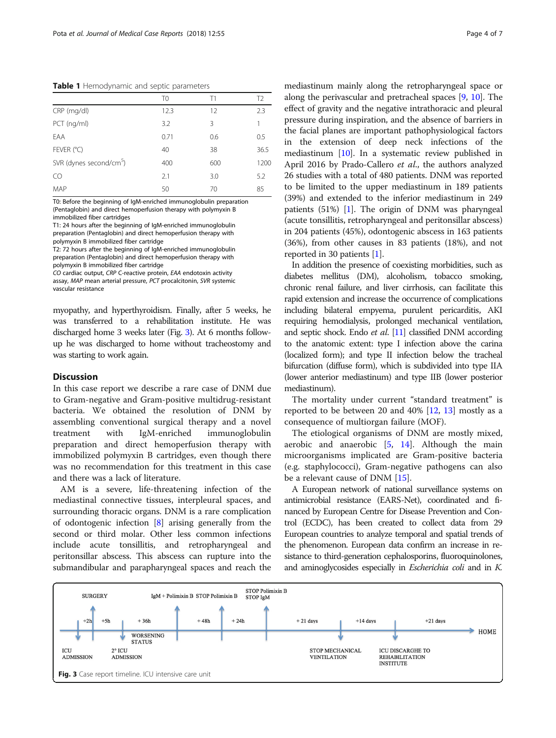<span id="page-3-0"></span>Table 1 Hemodynamic and septic parameters

|                                     | ΤO   | Τ1  | T <sub>2</sub> |
|-------------------------------------|------|-----|----------------|
| CRP (mg/dl)                         | 12.3 | 12  | 2.3            |
| PCT (ng/ml)                         | 3.2  | 3   | 1              |
| EAA                                 | 0.71 | 0.6 | 0.5            |
| FEVER (°C)                          | 40   | 38  | 36.5           |
| SVR (dynes second/cm <sup>5</sup> ) | 400  | 600 | 1200           |
| CO.                                 | 2.1  | 3.0 | 5.2            |
| MAP                                 | 50   | 70  | 85             |

T0: Before the beginning of IgM-enriched immunoglobulin preparation (Pentaglobin) and direct hemoperfusion therapy with polymyxin B immobilized fiber cartridges

T1: 24 hours after the beginning of IgM-enriched immunoglobulin preparation (Pentaglobin) and direct hemoperfusion therapy with polymyxin B immobilized fiber cartridge

T2: 72 hours after the beginning of IgM-enriched immunoglobulin preparation (Pentaglobin) and direct hemoperfusion therapy with polymyxin B immobilized fiber cartridge

CO cardiac output, CRP C-reactive protein, EAA endotoxin activity assay, MAP mean arterial pressure, PCT procalcitonin, SVR systemic vascular resistance

myopathy, and hyperthyroidism. Finally, after 5 weeks, he was transferred to a rehabilitation institute. He was discharged home 3 weeks later (Fig. 3). At 6 months followup he was discharged to home without tracheostomy and was starting to work again.

# **Discussion**

In this case report we describe a rare case of DNM due to Gram-negative and Gram-positive multidrug-resistant bacteria. We obtained the resolution of DNM by assembling conventional surgical therapy and a novel treatment with IgM-enriched immunoglobulin preparation and direct hemoperfusion therapy with immobilized polymyxin B cartridges, even though there was no recommendation for this treatment in this case and there was a lack of literature.

AM is a severe, life-threatening infection of the mediastinal connective tissues, interpleural spaces, and surrounding thoracic organs. DNM is a rare complication of odontogenic infection [[8\]](#page-5-0) arising generally from the second or third molar. Other less common infections include acute tonsillitis, and retropharyngeal and peritonsillar abscess. This abscess can rupture into the submandibular and parapharyngeal spaces and reach the

mediastinum mainly along the retropharyngeal space or along the perivascular and pretracheal spaces [\[9](#page-5-0), [10](#page-5-0)]. The effect of gravity and the negative intrathoracic and pleural pressure during inspiration, and the absence of barriers in the facial planes are important pathophysiological factors in the extension of deep neck infections of the mediastinum [\[10](#page-5-0)]. In a systematic review published in April 2016 by Prado-Callero et al., the authors analyzed 26 studies with a total of 480 patients. DNM was reported to be limited to the upper mediastinum in 189 patients (39%) and extended to the inferior mediastinum in 249 patients (51%) [\[1](#page-5-0)]. The origin of DNM was pharyngeal (acute tonsillitis, retropharyngeal and peritonsillar abscess) in 204 patients (45%), odontogenic abscess in 163 patients (36%), from other causes in 83 patients (18%), and not reported in 30 patients [\[1](#page-5-0)].

In addition the presence of coexisting morbidities, such as diabetes mellitus (DM), alcoholism, tobacco smoking, chronic renal failure, and liver cirrhosis, can facilitate this rapid extension and increase the occurrence of complications including bilateral empyema, purulent pericarditis, AKI requiring hemodialysis, prolonged mechanical ventilation, and septic shock. Endo *et al.* [\[11](#page-5-0)] classified DNM according to the anatomic extent: type I infection above the carina (localized form); and type II infection below the tracheal bifurcation (diffuse form), which is subdivided into type IIA (lower anterior mediastinum) and type IIB (lower posterior mediastinum).

The mortality under current "standard treatment" is reported to be between 20 and  $40\%$  [[12,](#page-5-0) [13](#page-5-0)] mostly as a consequence of multiorgan failure (MOF).

The etiological organisms of DNM are mostly mixed, aerobic and anaerobic  $[5, 14]$  $[5, 14]$  $[5, 14]$  $[5, 14]$ . Although the main microorganisms implicated are Gram-positive bacteria (e.g. staphylococci), Gram-negative pathogens can also be a relevant cause of DNM [\[15\]](#page-6-0).

A European network of national surveillance systems on antimicrobial resistance (EARS-Net), coordinated and financed by European Centre for Disease Prevention and Control (ECDC), has been created to collect data from 29 European countries to analyze temporal and spatial trends of the phenomenon. European data confirm an increase in resistance to third-generation cephalosporins, fluoroquinolones, and aminoglycosides especially in Escherichia coli and in K.

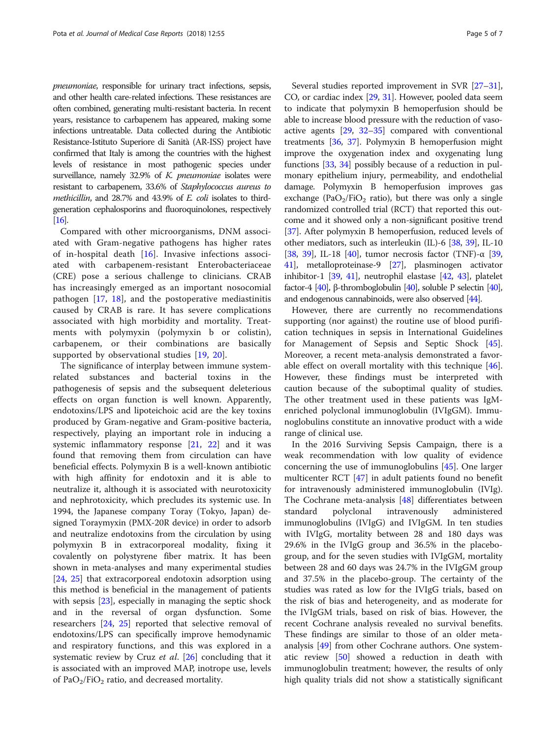pneumoniae, responsible for urinary tract infections, sepsis, and other health care-related infections. These resistances are often combined, generating multi-resistant bacteria. In recent years, resistance to carbapenem has appeared, making some infections untreatable. Data collected during the Antibiotic Resistance-Istituto Superiore di Sanità (AR-ISS) project have confirmed that Italy is among the countries with the highest levels of resistance in most pathogenic species under surveillance, namely 32.9% of K. pneumoniae isolates were resistant to carbapenem, 33.6% of Staphylococcus aureus to methicillin, and 28.7% and 43.9% of E. coli isolates to thirdgeneration cephalosporins and fluoroquinolones, respectively [[16\]](#page-6-0).

Compared with other microorganisms, DNM associated with Gram-negative pathogens has higher rates of in-hospital death [[16](#page-6-0)]. Invasive infections associated with carbapenem-resistant Enterobacteriaceae (CRE) pose a serious challenge to clinicians. CRAB has increasingly emerged as an important nosocomial pathogen [[17,](#page-6-0) [18\]](#page-6-0), and the postoperative mediastinitis caused by CRAB is rare. It has severe complications associated with high morbidity and mortality. Treatments with polymyxin (polymyxin b or colistin), carbapenem, or their combinations are basically supported by observational studies [[19,](#page-6-0) [20\]](#page-6-0).

The significance of interplay between immune systemrelated substances and bacterial toxins in the pathogenesis of sepsis and the subsequent deleterious effects on organ function is well known. Apparently, endotoxins/LPS and lipoteichoic acid are the key toxins produced by Gram-negative and Gram-positive bacteria, respectively, playing an important role in inducing a systemic inflammatory response [\[21](#page-6-0), [22](#page-6-0)] and it was found that removing them from circulation can have beneficial effects. Polymyxin B is a well-known antibiotic with high affinity for endotoxin and it is able to neutralize it, although it is associated with neurotoxicity and nephrotoxicity, which precludes its systemic use. In 1994, the Japanese company Toray (Tokyo, Japan) designed Toraymyxin (PMX-20R device) in order to adsorb and neutralize endotoxins from the circulation by using polymyxin B in extracorporeal modality, fixing it covalently on polystyrene fiber matrix. It has been shown in meta-analyses and many experimental studies [[24,](#page-6-0) [25\]](#page-6-0) that extracorporeal endotoxin adsorption using this method is beneficial in the management of patients with sepsis [\[23](#page-6-0)], especially in managing the septic shock and in the reversal of organ dysfunction. Some researchers [[24](#page-6-0), [25](#page-6-0)] reported that selective removal of endotoxins/LPS can specifically improve hemodynamic and respiratory functions, and this was explored in a systematic review by Cruz et al. [[26\]](#page-6-0) concluding that it is associated with an improved MAP, inotrope use, levels of  $PaO<sub>2</sub>/FiO<sub>2</sub>$  ratio, and decreased mortality.

Several studies reported improvement in SVR [\[27](#page-6-0)–[31](#page-6-0)], CO, or cardiac index [\[29,](#page-6-0) [31](#page-6-0)]. However, pooled data seem to indicate that polymyxin B hemoperfusion should be able to increase blood pressure with the reduction of vasoactive agents [\[29](#page-6-0), [32](#page-6-0)–[35\]](#page-6-0) compared with conventional treatments [[36](#page-6-0), [37](#page-6-0)]. Polymyxin B hemoperfusion might improve the oxygenation index and oxygenating lung functions [\[33](#page-6-0), [34](#page-6-0)] possibly because of a reduction in pulmonary epithelium injury, permeability, and endothelial damage. Polymyxin B hemoperfusion improves gas exchange (PaO<sub>2</sub>/FiO<sub>2</sub> ratio), but there was only a single randomized controlled trial (RCT) that reported this outcome and it showed only a non-significant positive trend [[37](#page-6-0)]. After polymyxin B hemoperfusion, reduced levels of other mediators, such as interleukin (IL)-6 [[38](#page-6-0), [39](#page-6-0)], IL-10 [[38](#page-6-0), [39\]](#page-6-0), IL-18 [\[40\]](#page-6-0), tumor necrosis factor (TNF)-α [[39](#page-6-0), [41](#page-6-0)], metalloproteinase-9 [\[27\]](#page-6-0), plasminogen activator inhibitor-1 [[39,](#page-6-0) [41\]](#page-6-0), neutrophil elastase [\[42,](#page-6-0) [43\]](#page-6-0), platelet factor-4 [\[40](#page-6-0)], β-thromboglobulin [\[40\]](#page-6-0), soluble P selectin [\[40\]](#page-6-0), and endogenous cannabinoids, were also observed [[44\]](#page-6-0).

However, there are currently no recommendations supporting (nor against) the routine use of blood purification techniques in sepsis in International Guidelines for Management of Sepsis and Septic Shock [\[45](#page-6-0)]. Moreover, a recent meta-analysis demonstrated a favorable effect on overall mortality with this technique [\[46](#page-6-0)]. However, these findings must be interpreted with caution because of the suboptimal quality of studies. The other treatment used in these patients was IgMenriched polyclonal immunoglobulin (IVIgGM). Immunoglobulins constitute an innovative product with a wide range of clinical use.

In the 2016 Surviving Sepsis Campaign, there is a weak recommendation with low quality of evidence concerning the use of immunoglobulins [[45\]](#page-6-0). One larger multicenter RCT [[47](#page-6-0)] in adult patients found no benefit for intravenously administered immunoglobulin (IVIg). The Cochrane meta-analysis [[48\]](#page-6-0) differentiates between standard polyclonal intravenously administered immunoglobulins (IVIgG) and IVIgGM. In ten studies with IVIgG, mortality between 28 and 180 days was 29.6% in the IVIgG group and 36.5% in the placebogroup, and for the seven studies with IVIgGM, mortality between 28 and 60 days was 24.7% in the IVIgGM group and 37.5% in the placebo-group. The certainty of the studies was rated as low for the IVIgG trials, based on the risk of bias and heterogeneity, and as moderate for the IVIgGM trials, based on risk of bias. However, the recent Cochrane analysis revealed no survival benefits. These findings are similar to those of an older metaanalysis [[49](#page-6-0)] from other Cochrane authors. One systematic review [\[50](#page-6-0)] showed a reduction in death with immunoglobulin treatment; however, the results of only high quality trials did not show a statistically significant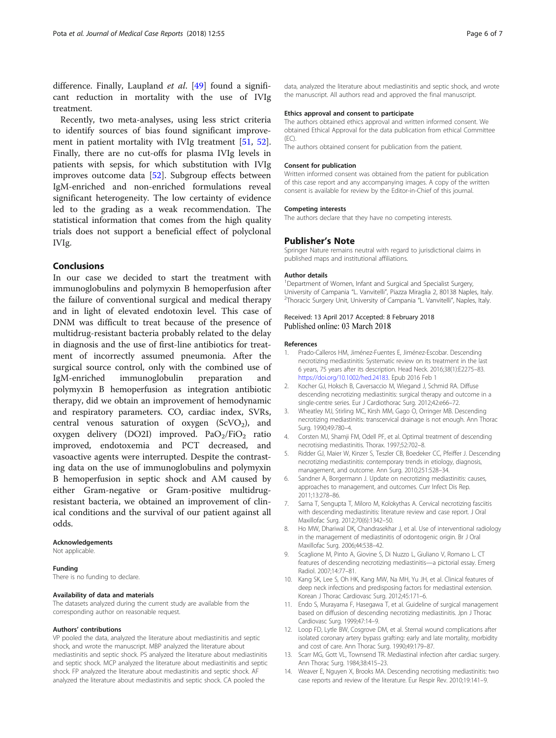<span id="page-5-0"></span>difference. Finally, Laupland et al. [\[49](#page-6-0)] found a significant reduction in mortality with the use of IVIg treatment.

Recently, two meta-analyses, using less strict criteria to identify sources of bias found significant improve-ment in patient mortality with IVIg treatment [\[51](#page-6-0), [52](#page-6-0)]. Finally, there are no cut-offs for plasma IVIg levels in patients with sepsis, for which substitution with IVIg improves outcome data [\[52\]](#page-6-0). Subgroup effects between IgM-enriched and non-enriched formulations reveal significant heterogeneity. The low certainty of evidence led to the grading as a weak recommendation. The statistical information that comes from the high quality trials does not support a beneficial effect of polyclonal IVIg.

# Conclusions

In our case we decided to start the treatment with immunoglobulins and polymyxin B hemoperfusion after the failure of conventional surgical and medical therapy and in light of elevated endotoxin level. This case of DNM was difficult to treat because of the presence of multidrug-resistant bacteria probably related to the delay in diagnosis and the use of first-line antibiotics for treatment of incorrectly assumed pneumonia. After the surgical source control, only with the combined use of IgM-enriched immunoglobulin preparation and polymyxin B hemoperfusion as integration antibiotic therapy, did we obtain an improvement of hemodynamic and respiratory parameters. CO, cardiac index, SVRs, central venous saturation of oxygen  $(ScVO<sub>2</sub>)$ , and oxygen delivery (DO2I) improved.  $PaO<sub>2</sub>/FiO<sub>2</sub>$  ratio improved, endotoxemia and PCT decreased, and vasoactive agents were interrupted. Despite the contrasting data on the use of immunoglobulins and polymyxin B hemoperfusion in septic shock and AM caused by either Gram-negative or Gram-positive multidrugresistant bacteria, we obtained an improvement of clinical conditions and the survival of our patient against all odds.

#### Acknowledgements

Not applicable.

### Funding

There is no funding to declare.

### Availability of data and materials

The datasets analyzed during the current study are available from the corresponding author on reasonable request.

### Authors' contributions

VP pooled the data, analyzed the literature about mediastinitis and septic shock, and wrote the manuscript. MBP analyzed the literature about mediastinitis and septic shock. PS analyzed the literature about mediastinitis and septic shock. MCP analyzed the literature about mediastinitis and septic shock. FP analyzed the literature about mediastinitis and septic shock. AF analyzed the literature about mediastinitis and septic shock. CA pooled the

data, analyzed the literature about mediastinitis and septic shock, and wrote the manuscript. All authors read and approved the final manuscript.

### Ethics approval and consent to participate

The authors obtained ethics approval and written informed consent. We obtained Ethical Approval for the data publication from ethical Committee  $(EC)$ .

The authors obtained consent for publication from the patient.

#### Consent for publication

Written informed consent was obtained from the patient for publication of this case report and any accompanying images. A copy of the written consent is available for review by the Editor-in-Chief of this journal.

#### Competing interests

The authors declare that they have no competing interests.

#### Publisher's Note

Springer Nature remains neutral with regard to jurisdictional claims in published maps and institutional affiliations.

#### Author details

<sup>1</sup>Department of Women, Infant and Surgical and Specialist Surgery University of Campania "L. Vanvitelli", Piazza Miraglia 2, 80138 Naples, Italy. <sup>2</sup> <sup>2</sup>Thoracic Surgery Unit, University of Campania "L. Vanvitelli", Naples, Italy.

## Received: 13 April 2017 Accepted: 8 February 2018 Published online: 03 March 2018

#### References

- 1. Prado-Calleros HM, Jiménez-Fuentes E, Jiménez-Escobar. Descending necrotizing mediastinitis: Systematic review on its treatment in the last 6 years, 75 years after its description. Head Neck. 2016;38(1):E2275–83. <https://doi.org/10.1002/hed.24183>. Epub 2016 Feb 1
- 2. Kocher GJ, Hoksch B, Caversaccio M, Wiegand J, Schmid RA. Diffuse descending necrotizing mediastinitis: surgical therapy and outcome in a single-centre series. Eur J Cardiothorac Surg. 2012;42:e66–72.
- 3. Wheatley MJ, Stirling MC, Kirsh MM, Gago O, Orringer MB. Descending necrotizing mediastinitis: transcervical drainage is not enough. Ann Thorac Surg. 1990;49:780–4.
- 4. Corsten MJ, Shamji FM, Odell PF, et al. Optimal treatment of descending necrotising mediastinitis. Thorax. 1997;52:702–8.
- 5. Ridder GJ, Maier W, Kinzer S, Teszler CB, Boedeker CC, Pfeiffer J. Descending necrotizing mediastinitis: contemporary trends in etiology, diagnosis, management, and outcome. Ann Surg. 2010;251:528–34.
- 6. Sandner A, Borgermann J. Update on necrotizing mediastinitis: causes, approaches to management, and outcomes. Curr Infect Dis Rep. 2011;13:278–86.
- 7. Sarna T, Sengupta T, Miloro M, Kolokythas A. Cervical necrotizing fasciitis with descending mediastinitis: literature review and case report. J Oral Maxillofac Surg. 2012;70(6):1342–50.
- 8. Ho MW, Dhariwal DK, Chandrasekhar J, et al. Use of interventional radiology in the management of mediastinitis of odontogenic origin. Br J Oral Maxillofac Surg. 2006;44:538–42.
- 9. Scaglione M, Pinto A, Giovine S, Di Nuzzo L, Giuliano V, Romano L. CT features of descending necrotizing mediastinitis—a pictorial essay. Emerg Radiol. 2007;14:77–81.
- 10. Kang SK, Lee S, Oh HK, Kang MW, Na MH, Yu JH, et al. Clinical features of deep neck infections and predisposing factors for mediastinal extension. Korean J Thorac Cardiovasc Surg. 2012;45:171–6.
- 11. Endo S, Murayama F, Hasegawa T, et al. Guideline of surgical management based on diffusion of descending necrotizing mediastinitis. Jpn J Thorac Cardiovasc Surg. 1999;47:14–9.
- 12. Loop FD, Lytle BW, Cosgrove DM, et al. Sternal wound complications after isolated coronary artery bypass grafting: early and late mortality, morbidity and cost of care. Ann Thorac Surg. 1990;49:179–87.
- 13. Scarr MG, Gott VL, Townsend TR. Mediastinal infection after cardiac surgery. Ann Thorac Surg. 1984;38:415–23.
- 14. Weaver E, Nguyen X, Brooks MA. Descending necrotising mediastinitis: two case reports and review of the literature. Eur Respir Rev. 2010;19:141–9.